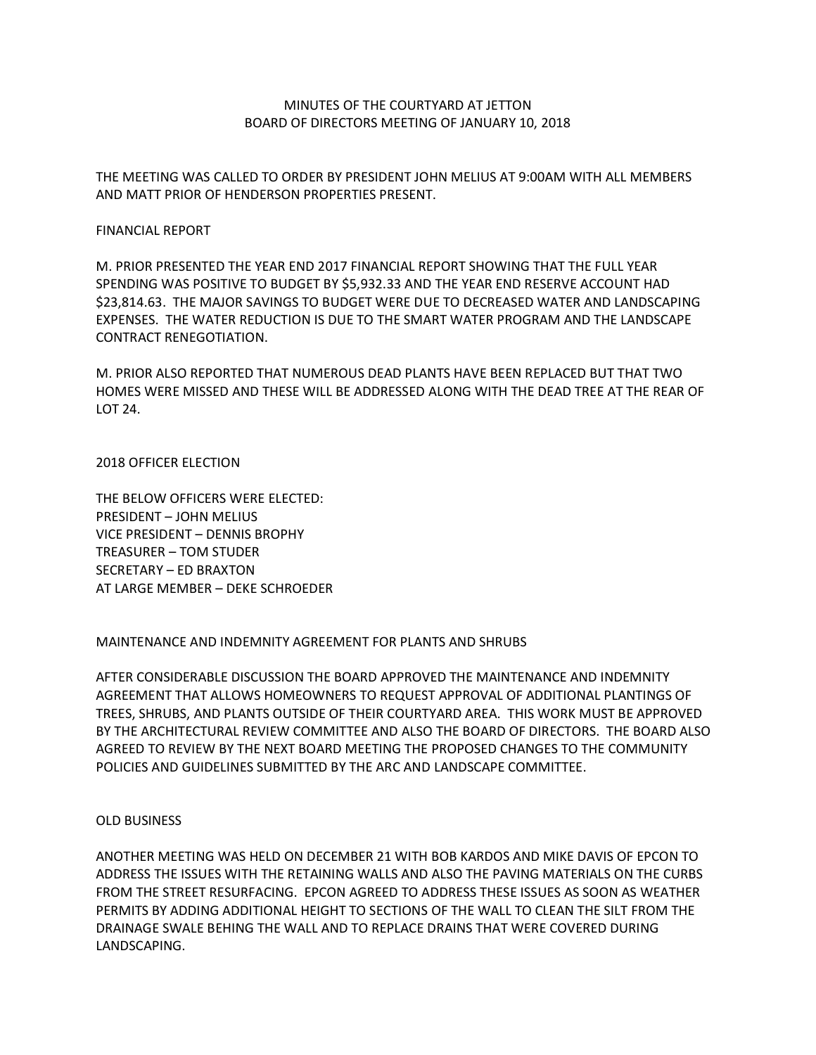## MINUTES OF THE COURTYARD AT JETTON BOARD OF DIRECTORS MEETING OF JANUARY 10, 2018

THE MEETING WAS CALLED TO ORDER BY PRESIDENT JOHN MELIUS AT 9:00AM WITH ALL MEMBERS AND MATT PRIOR OF HENDERSON PROPERTIES PRESENT.

#### FINANCIAL REPORT

M. PRIOR PRESENTED THE YEAR END 2017 FINANCIAL REPORT SHOWING THAT THE FULL YEAR SPENDING WAS POSITIVE TO BUDGET BY \$5,932.33 AND THE YEAR END RESERVE ACCOUNT HAD \$23,814.63. THE MAJOR SAVINGS TO BUDGET WERE DUE TO DECREASED WATER AND LANDSCAPING EXPENSES. THE WATER REDUCTION IS DUE TO THE SMART WATER PROGRAM AND THE LANDSCAPE CONTRACT RENEGOTIATION.

M. PRIOR ALSO REPORTED THAT NUMEROUS DEAD PLANTS HAVE BEEN REPLACED BUT THAT TWO HOMES WERE MISSED AND THESE WILL BE ADDRESSED ALONG WITH THE DEAD TREE AT THE REAR OF LOT 24.

#### 2018 OFFICER ELECTION

THE BELOW OFFICERS WERE ELECTED: PRESIDENT – JOHN MELIUS VICE PRESIDENT – DENNIS BROPHY TREASURER – TOM STUDER SECRETARY – ED BRAXTON AT LARGE MEMBER – DEKE SCHROEDER

# MAINTENANCE AND INDEMNITY AGREEMENT FOR PLANTS AND SHRUBS

AFTER CONSIDERABLE DISCUSSION THE BOARD APPROVED THE MAINTENANCE AND INDEMNITY AGREEMENT THAT ALLOWS HOMEOWNERS TO REQUEST APPROVAL OF ADDITIONAL PLANTINGS OF TREES, SHRUBS, AND PLANTS OUTSIDE OF THEIR COURTYARD AREA. THIS WORK MUST BE APPROVED BY THE ARCHITECTURAL REVIEW COMMITTEE AND ALSO THE BOARD OF DIRECTORS. THE BOARD ALSO AGREED TO REVIEW BY THE NEXT BOARD MEETING THE PROPOSED CHANGES TO THE COMMUNITY POLICIES AND GUIDELINES SUBMITTED BY THE ARC AND LANDSCAPE COMMITTEE.

### OLD BUSINESS

ANOTHER MEETING WAS HELD ON DECEMBER 21 WITH BOB KARDOS AND MIKE DAVIS OF EPCON TO ADDRESS THE ISSUES WITH THE RETAINING WALLS AND ALSO THE PAVING MATERIALS ON THE CURBS FROM THE STREET RESURFACING. EPCON AGREED TO ADDRESS THESE ISSUES AS SOON AS WEATHER PERMITS BY ADDING ADDITIONAL HEIGHT TO SECTIONS OF THE WALL TO CLEAN THE SILT FROM THE DRAINAGE SWALE BEHING THE WALL AND TO REPLACE DRAINS THAT WERE COVERED DURING LANDSCAPING.